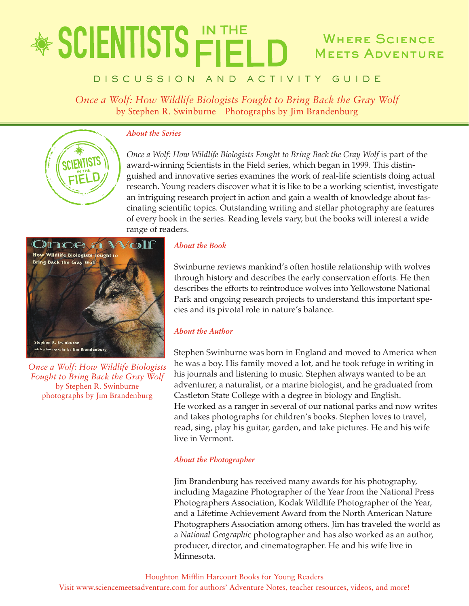## \* SCIENTISTS FIEL WHERE SCIENCE Meets Adventure

### D I S C U S S I O N A N D A C T I V I T Y G U I D E

*Once a Wolf: How Wildlife Biologists Fought to Bring Back the Gray Wolf* by Stephen R. Swinburne Photographs by Jim Brandenburg



#### *About the Series*

*Once a Wolf: How Wildlife Biologists Fought to Bring Back the Gray Wolf* is part of the award-winning Scientists in the Field series, which began in 1999. This distinguished and innovative series examines the work of real-life scientists doing actual research. Young readers discover what it is like to be a working scientist, investigate an intriguing research project in action and gain a wealth of knowledge about fascinating scientific topics. Outstanding writing and stellar photography are features of every book in the series. Reading levels vary, but the books will interest a wide range of readers.



*Once a Wolf: How Wildlife Biologists Fought to Bring Back the Gray Wolf* by Stephen R. Swinburne photographs by Jim Brandenburg

#### *About the Book*

Swinburne reviews mankind's often hostile relationship with wolves through history and describes the early conservation efforts. He then describes the efforts to reintroduce wolves into Yellowstone National Park and ongoing research projects to understand this important species and its pivotal role in nature's balance.

#### *About the Author*

Stephen Swinburne was born in England and moved to America when he was a boy. His family moved a lot, and he took refuge in writing in his journals and listening to music. Stephen always wanted to be an adventurer, a naturalist, or a marine biologist, and he graduated from Castleton State College with a degree in biology and English. He worked as a ranger in several of our national parks and now writes and takes photographs for children's books. Stephen loves to travel, read, sing, play his guitar, garden, and take pictures. He and his wife live in Vermont.

#### *About the Photographer*

Jim Brandenburg has received many awards for his photography, including Magazine Photographer of the Year from the National Press Photographers Association, Kodak Wildlife Photographer of the Year, and a Lifetime Achievement Award from the North American Nature Photographers Association among others. Jim has traveled the world as a *National Geographi*c photographer and has also worked as an author, producer, director, and cinematographer. He and his wife live in Minnesota.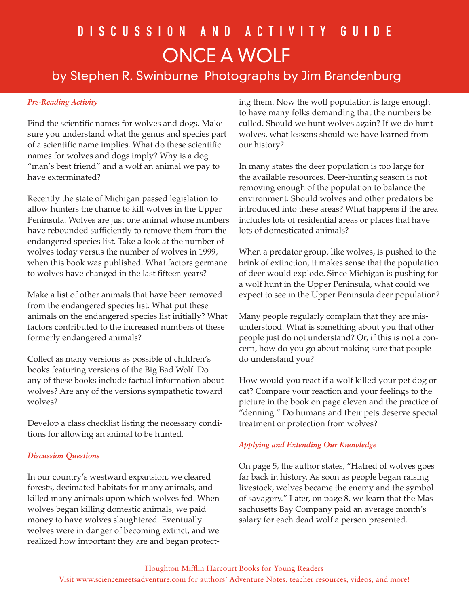# D i s c u s s i o n a n d a c t i v i t y G u i d e Once a Wolf

by Stephen R. Swinburne Photographs by Jim Brandenburg

#### *Pre-Reading Activity*

Find the scientific names for wolves and dogs. Make sure you understand what the genus and species part of a scientific name implies. What do these scientific names for wolves and dogs imply? Why is a dog "man's best friend" and a wolf an animal we pay to have exterminated?

Recently the state of Michigan passed legislation to allow hunters the chance to kill wolves in the Upper Peninsula. Wolves are just one animal whose numbers have rebounded sufficiently to remove them from the endangered species list. Take a look at the number of wolves today versus the number of wolves in 1999, when this book was published. What factors germane to wolves have changed in the last fifteen years?

Make a list of other animals that have been removed from the endangered species list. What put these animals on the endangered species list initially? What factors contributed to the increased numbers of these formerly endangered animals?

Collect as many versions as possible of children's books featuring versions of the Big Bad Wolf. Do any of these books include factual information about wolves? Are any of the versions sympathetic toward wolves?

Develop a class checklist listing the necessary conditions for allowing an animal to be hunted.

#### *Discussion Questions*

In our country's westward expansion, we cleared forests, decimated habitats for many animals, and killed many animals upon which wolves fed. When wolves began killing domestic animals, we paid money to have wolves slaughtered. Eventually wolves were in danger of becoming extinct, and we realized how important they are and began protecting them. Now the wolf population is large enough to have many folks demanding that the numbers be culled. Should we hunt wolves again? If we do hunt wolves, what lessons should we have learned from our history?

In many states the deer population is too large for the available resources. Deer-hunting season is not removing enough of the population to balance the environment. Should wolves and other predators be introduced into these areas? What happens if the area includes lots of residential areas or places that have lots of domesticated animals?

When a predator group, like wolves, is pushed to the brink of extinction, it makes sense that the population of deer would explode. Since Michigan is pushing for a wolf hunt in the Upper Peninsula, what could we expect to see in the Upper Peninsula deer population?

Many people regularly complain that they are misunderstood. What is something about you that other people just do not understand? Or, if this is not a concern, how do you go about making sure that people do understand you?

How would you react if a wolf killed your pet dog or cat? Compare your reaction and your feelings to the picture in the book on page eleven and the practice of "denning." Do humans and their pets deserve special treatment or protection from wolves?

#### *Applying and Extending Our Knowledge*

On page 5, the author states, "Hatred of wolves goes far back in history. As soon as people began raising livestock, wolves became the enemy and the symbol of savagery." Later, on page 8, we learn that the Massachusetts Bay Company paid an average month's salary for each dead wolf a person presented.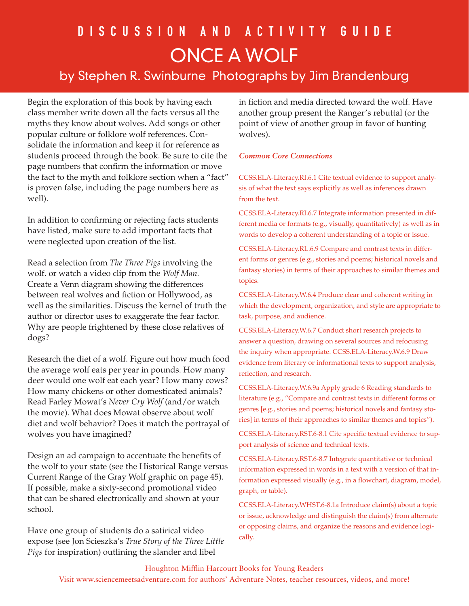## D I S C U S S I O N A N D A C T I V I T Y G U I D E Once a Wolf

### by Stephen R. Swinburne Photographs by Jim Brandenburg

Begin the exploration of this book by having each class member write down all the facts versus all the myths they know about wolves. Add songs or other popular culture or folklore wolf references. Consolidate the information and keep it for reference as students proceed through the book. Be sure to cite the page numbers that confirm the information or move the fact to the myth and folklore section when a "fact" is proven false, including the page numbers here as well).

In addition to confirming or rejecting facts students have listed, make sure to add important facts that were neglected upon creation of the list.

Read a selection from *The Three Pigs* involving the wolf. or watch a video clip from the *Wolf Man.* Create a Venn diagram showing the differences between real wolves and fiction or Hollywood, as well as the similarities. Discuss the kernel of truth the author or director uses to exaggerate the fear factor. Why are people frightened by these close relatives of dogs?

Research the diet of a wolf. Figure out how much food the average wolf eats per year in pounds. How many deer would one wolf eat each year? How many cows? How many chickens or other domesticated animals? Read Farley Mowat's *Never Cry Wolf* (and/or watch the movie). What does Mowat observe about wolf diet and wolf behavior? Does it match the portrayal of wolves you have imagined?

Design an ad campaign to accentuate the benefits of the wolf to your state (see the Historical Range versus Current Range of the Gray Wolf graphic on page 45). If possible, make a sixty-second promotional video that can be shared electronically and shown at your school.

Have one group of students do a satirical video expose (see Jon Scieszka's *True Story of the Three Little Pigs* for inspiration) outlining the slander and libel

in fiction and media directed toward the wolf. Have another group present the Ranger's rebuttal (or the point of view of another group in favor of hunting wolves).

#### *Common Core Connections*

CCSS.ELA-Literacy.RI.6.1 Cite textual evidence to support analysis of what the text says explicitly as well as inferences drawn from the text.

CCSS.ELA-Literacy.RI.6.7 Integrate information presented in different media or formats (e.g., visually, quantitatively) as well as in words to develop a coherent understanding of a topic or issue.

CCSS.ELA-Literacy.RL.6.9 Compare and contrast texts in different forms or genres (e.g., stories and poems; historical novels and fantasy stories) in terms of their approaches to similar themes and topics.

CCSS.ELA-Literacy.W.6.4 Produce clear and coherent writing in which the development, organization, and style are appropriate to task, purpose, and audience.

CCSS.ELA-Literacy.W.6.7 Conduct short research projects to answer a question, drawing on several sources and refocusing the inquiry when appropriate. CCSS.ELA-Literacy.W.6.9 Draw evidence from literary or informational texts to support analysis, reflection, and research.

CCSS.ELA-Literacy.W.6.9a Apply grade 6 Reading standards to literature (e.g., "Compare and contrast texts in different forms or genres [e.g., stories and poems; historical novels and fantasy stories] in terms of their approaches to similar themes and topics").

CCSS.ELA-Literacy.RST.6-8.1 Cite specific textual evidence to support analysis of science and technical texts.

CCSS.ELA-Literacy.RST.6-8.7 Integrate quantitative or technical information expressed in words in a text with a version of that information expressed visually (e.g., in a flowchart, diagram, model, graph, or table).

CCSS.ELA-Literacy.WHST.6-8.1a Introduce claim(s) about a topic or issue, acknowledge and distinguish the claim(s) from alternate or opposing claims, and organize the reasons and evidence logically.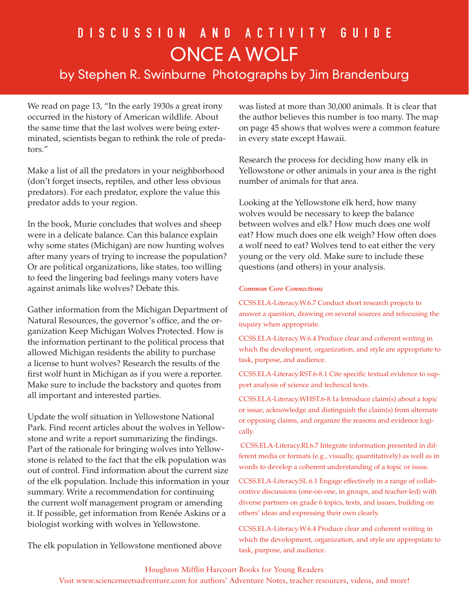## D I S C U S S I O N A N D A C T I V I T Y G U I D E Once a Wolf

### by Stephen R. Swinburne Photographs by Jim Brandenburg

We read on page 13, "In the early 1930s a great irony occurred in the history of American wildlife. About the same time that the last wolves were being exterminated, scientists began to rethink the role of predators."

Make a list of all the predators in your neighborhood (don't forget insects, reptiles, and other less obvious predators). For each predator, explore the value this predator adds to your region.

In the book, Murie concludes that wolves and sheep were in a delicate balance. Can this balance explain why some states (Michigan) are now hunting wolves after many years of trying to increase the population? Or are political organizations, like states, too willing to feed the lingering bad feelings many voters have against animals like wolves? Debate this.

Gather information from the Michigan Department of Natural Resources, the governor's office, and the organization Keep Michigan Wolves Protected. How is the information pertinant to the political process that allowed Michigan residents the ability to purchase a license to hunt wolves? Research the results of the first wolf hunt in Michigan as if you were a reporter. Make sure to include the backstory and quotes from all important and interested parties.

Update the wolf situation in Yellowstone National Park. Find recent articles about the wolves in Yellowstone and write a report summarizing the findings. Part of the rationale for bringing wolves into Yellowstone is related to the fact that the elk population was out of control. Find information about the current size of the elk population. Include this information in your summary. Write a recommendation for continuing the current wolf management program or amending it. If possible, get information from Renée Askins or a biologist working with wolves in Yellowstone.

The elk population in Yellowstone mentioned above

was listed at more than 30,000 animals. It is clear that the author believes this number is too many. The map on page 45 shows that wolves were a common feature in every state except Hawaii.

Research the process for deciding how many elk in Yellowstone or other animals in your area is the right number of animals for that area.

Looking at the Yellowstone elk herd, how many wolves would be necessary to keep the balance between wolves and elk? How much does one wolf eat? How much does one elk weigh? How often does a wolf need to eat? Wolves tend to eat either the very young or the very old. Make sure to include these questions (and others) in your analysis.

#### *Common Core Connections*

CCSS.ELA-Literacy.W.6.7 Conduct short research projects to answer a question, drawing on several sources and refocusing the inquiry when appropriate.

CCSS.ELA-Literacy.W.6.4 Produce clear and coherent writing in which the development, organization, and style are appropriate to task, purpose, and audience.

CCSS.ELA-Literacy.RST.6-8.1 Cite specific textual evidence to support analysis of science and technical texts.

CCSS.ELA-Literacy.WHST.6-8.1a Introduce claim(s) about a topic or issue, acknowledge and distinguish the claim(s) from alternate or opposing claims, and organize the reasons and evidence logically.

 CCSS.ELA-Literacy.RI.6.7 Integrate information presented in different media or formats (e.g., visually, quantitatively) as well as in words to develop a coherent understanding of a topic or issue.

CCSS.ELA-Literacy.SL.6.1 Engage effectively in a range of collaborative discussions (one-on-one, in groups, and teacher-led) with diverse partners on grade 6 topics, texts, and issues, building on others' ideas and expressing their own clearly.

CCSS.ELA-Literacy.W.6.4 Produce clear and coherent writing in which the development, organization, and style are appropriate to task, purpose, and audience.